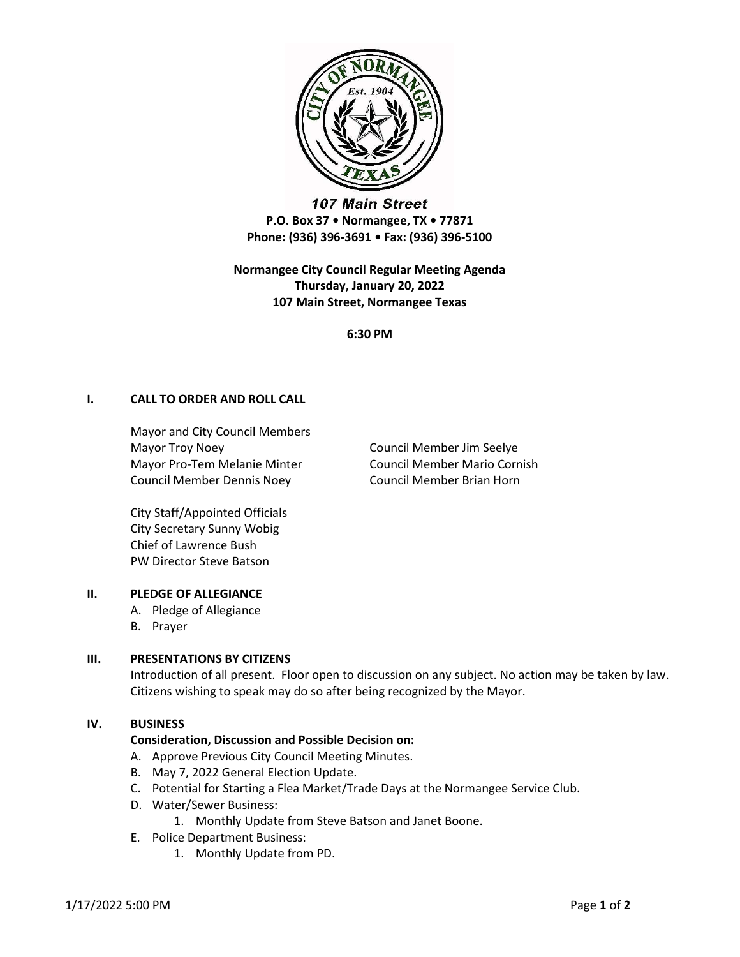

**107 Main Street** P.O. Box 37 • Normangee, TX • 77871 Phone: (936) 396-3691 • Fax: (936) 396-5100

Normangee City Council Regular Meeting Agenda Thursday, January 20, 2022 107 Main Street, Normangee Texas

6:30 PM

# I. CALL TO ORDER AND ROLL CALL

Mayor and City Council Members Mayor Troy Noey **Council Member Jim Seelye** Mayor Pro-Tem Melanie Minter **Council Member Mario Cornish** Council Member Dennis Noey Council Member Brian Horn

City Staff/Appointed Officials City Secretary Sunny Wobig Chief of Lawrence Bush PW Director Steve Batson

# II. PLEDGE OF ALLEGIANCE

- A. Pledge of Allegiance
- B. Prayer

# III. PRESENTATIONS BY CITIZENS

Introduction of all present. Floor open to discussion on any subject. No action may be taken by law. Citizens wishing to speak may do so after being recognized by the Mayor.

#### IV. BUSINESS

# Consideration, Discussion and Possible Decision on:

- A. Approve Previous City Council Meeting Minutes.
- B. May 7, 2022 General Election Update.
- C. Potential for Starting a Flea Market/Trade Days at the Normangee Service Club.
- D. Water/Sewer Business:
	- 1. Monthly Update from Steve Batson and Janet Boone.
- E. Police Department Business:
	- 1. Monthly Update from PD.